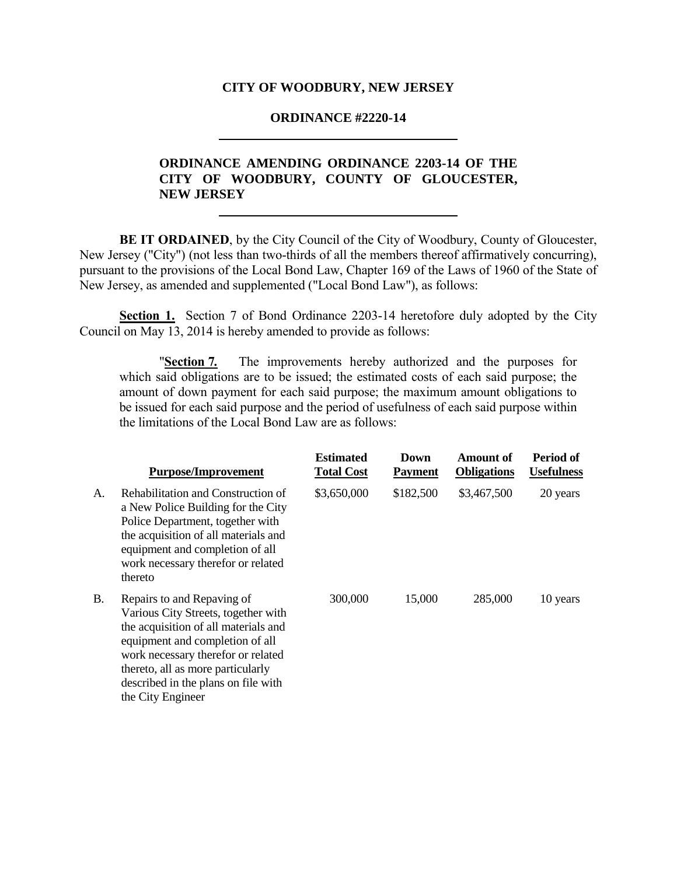#### **CITY OF WOODBURY, NEW JERSEY**

#### **ORDINANCE #2220-14**

# **ORDINANCE AMENDING ORDINANCE 2203-14 OF THE CITY OF WOODBURY, COUNTY OF GLOUCESTER, NEW JERSEY**

**BE IT ORDAINED**, by the City Council of the City of Woodbury, County of Gloucester, New Jersey ("City") (not less than two-thirds of all the members thereof affirmatively concurring), pursuant to the provisions of the Local Bond Law, Chapter 169 of the Laws of 1960 of the State of New Jersey, as amended and supplemented ("Local Bond Law"), as follows:

**Section 1.** Section 7 of Bond Ordinance 2203-14 heretofore duly adopted by the City Council on May 13, 2014 is hereby amended to provide as follows:

"**Section 7***.* The improvements hereby authorized and the purposes for which said obligations are to be issued; the estimated costs of each said purpose; the amount of down payment for each said purpose; the maximum amount obligations to be issued for each said purpose and the period of usefulness of each said purpose within the limitations of the Local Bond Law are as follows:

|    | <b>Purpose/Improvement</b>                                                                                                                                                                                                                                                          | <b>Estimated</b><br><b>Total Cost</b> | Down<br><b>Payment</b> | Amount of<br><b>Obligations</b> | Period of<br><b>Usefulness</b> |
|----|-------------------------------------------------------------------------------------------------------------------------------------------------------------------------------------------------------------------------------------------------------------------------------------|---------------------------------------|------------------------|---------------------------------|--------------------------------|
| А. | Rehabilitation and Construction of<br>a New Police Building for the City<br>Police Department, together with<br>the acquisition of all materials and<br>equipment and completion of all<br>work necessary therefor or related<br>thereto                                            | \$3,650,000                           | \$182,500              | \$3,467,500                     | 20 years                       |
| Β. | Repairs to and Repaving of<br>Various City Streets, together with<br>the acquisition of all materials and<br>equipment and completion of all<br>work necessary therefor or related<br>thereto, all as more particularly<br>described in the plans on file with<br>the City Engineer | 300,000                               | 15,000                 | 285,000                         | 10 years                       |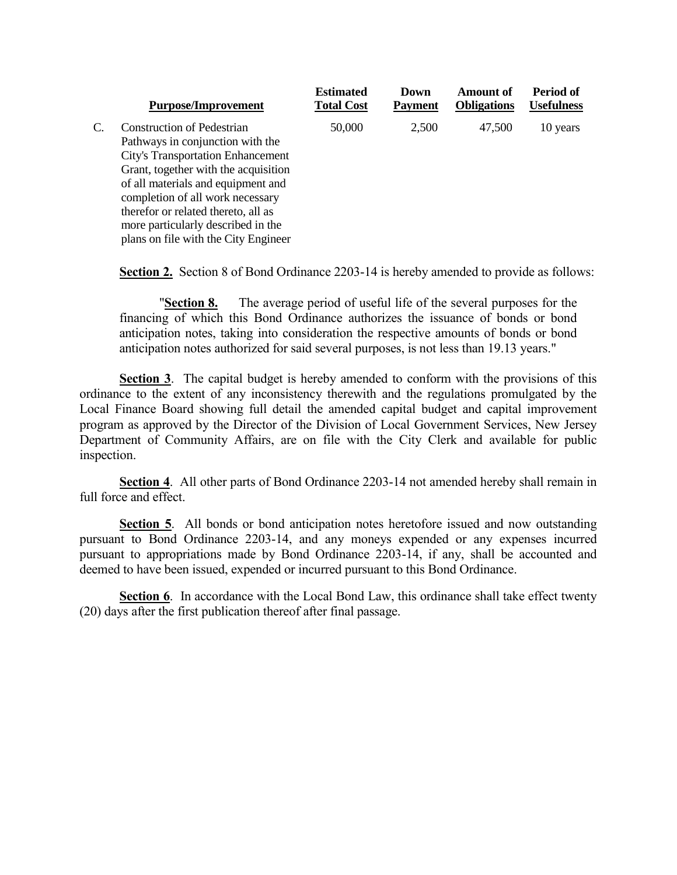|  | <b>Purpose/Improvement</b>               | <b>Estimated</b><br><b>Total Cost</b> | Down<br><b>Payment</b> | <b>Amount of</b><br><b>Obligations</b> | Period of<br><b>Usefulness</b> |
|--|------------------------------------------|---------------------------------------|------------------------|----------------------------------------|--------------------------------|
|  | <b>Construction of Pedestrian</b>        | 50,000                                | 2,500                  | 47,500                                 | 10 years                       |
|  | Pathways in conjunction with the         |                                       |                        |                                        |                                |
|  | <b>City's Transportation Enhancement</b> |                                       |                        |                                        |                                |
|  | Grant, together with the acquisition     |                                       |                        |                                        |                                |
|  | of all materials and equipment and       |                                       |                        |                                        |                                |
|  | completion of all work necessary         |                                       |                        |                                        |                                |
|  | therefor or related thereto, all as      |                                       |                        |                                        |                                |
|  | more particularly described in the       |                                       |                        |                                        |                                |
|  | plans on file with the City Engineer     |                                       |                        |                                        |                                |

**Section 2.** Section 8 of Bond Ordinance 2203-14 is hereby amended to provide as follows:

"**Section 8.** The average period of useful life of the several purposes for the financing of which this Bond Ordinance authorizes the issuance of bonds or bond anticipation notes, taking into consideration the respective amounts of bonds or bond anticipation notes authorized for said several purposes, is not less than 19.13 years."

**Section 3**. The capital budget is hereby amended to conform with the provisions of this ordinance to the extent of any inconsistency therewith and the regulations promulgated by the Local Finance Board showing full detail the amended capital budget and capital improvement program as approved by the Director of the Division of Local Government Services, New Jersey Department of Community Affairs, are on file with the City Clerk and available for public inspection.

**Section 4**. All other parts of Bond Ordinance 2203-14 not amended hereby shall remain in full force and effect.

**Section 5**. All bonds or bond anticipation notes heretofore issued and now outstanding pursuant to Bond Ordinance 2203-14, and any moneys expended or any expenses incurred pursuant to appropriations made by Bond Ordinance 2203-14, if any, shall be accounted and deemed to have been issued, expended or incurred pursuant to this Bond Ordinance.

**Section 6.** In accordance with the Local Bond Law, this ordinance shall take effect twenty (20) days after the first publication thereof after final passage.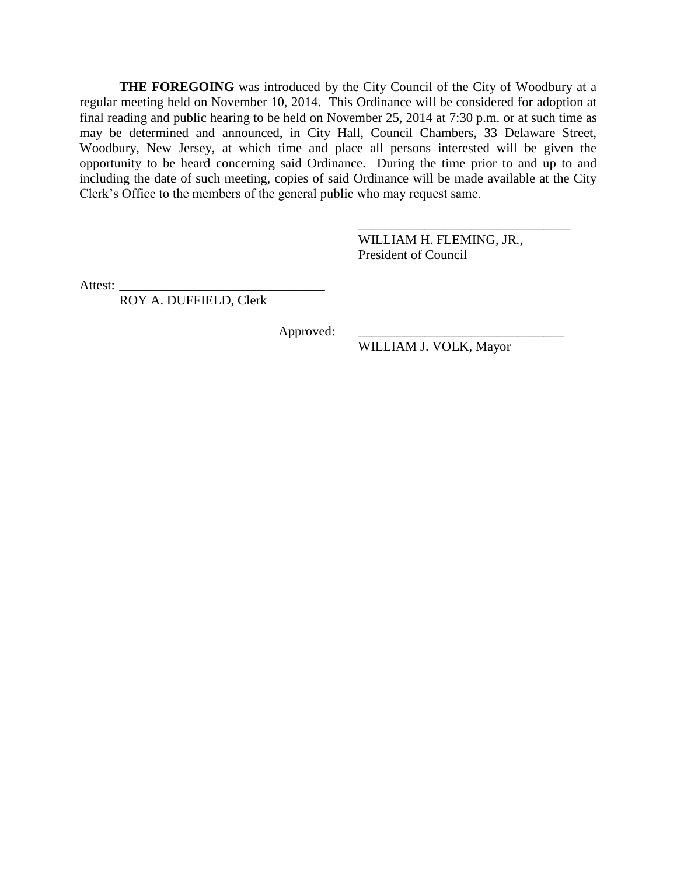**THE FOREGOING** was introduced by the City Council of the City of Woodbury at a regular meeting held on November 10, 2014. This Ordinance will be considered for adoption at final reading and public hearing to be held on November 25, 2014 at 7:30 p.m. or at such time as may be determined and announced, in City Hall, Council Chambers, 33 Delaware Street, Woodbury, New Jersey, at which time and place all persons interested will be given the opportunity to be heard concerning said Ordinance. During the time prior to and up to and including the date of such meeting, copies of said Ordinance will be made available at the City Clerk's Office to the members of the general public who may request same.

> WILLIAM H. FLEMING, JR., President of Council

\_\_\_\_\_\_\_\_\_\_\_\_\_\_\_\_\_\_\_\_\_\_\_\_\_\_\_\_\_\_\_\_

Attest:

ROY A. DUFFIELD, Clerk

Approved:

WILLIAM J. VOLK, Mayor